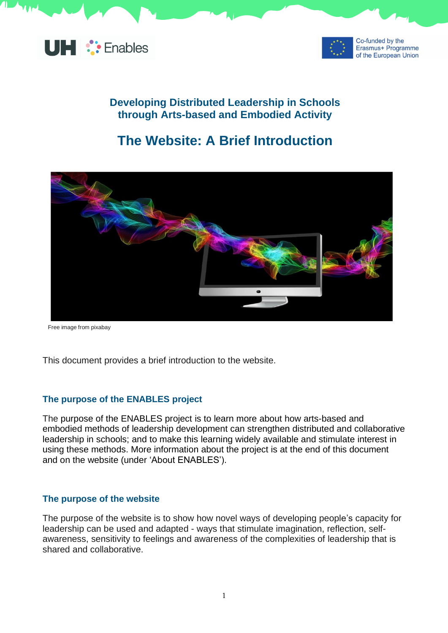



## **Developing Distributed Leadership in Schools through Arts-based and Embodied Activity**

# **The Website: A Brief Introduction**



Free image from pixabay

This document provides a brief introduction to the website.

#### **The purpose of the ENABLES project**

The purpose of the ENABLES project is to learn more about how arts-based and embodied methods of leadership development can strengthen distributed and collaborative leadership in schools; and to make this learning widely available and stimulate interest in using these methods. More information about the project is at the end of this document and on the website (under 'About ENABLES').

#### **The purpose of the website**

The purpose of the website is to show how novel ways of developing people's capacity for leadership can be used and adapted - ways that stimulate imagination, reflection, selfawareness, sensitivity to feelings and awareness of the complexities of leadership that is shared and collaborative.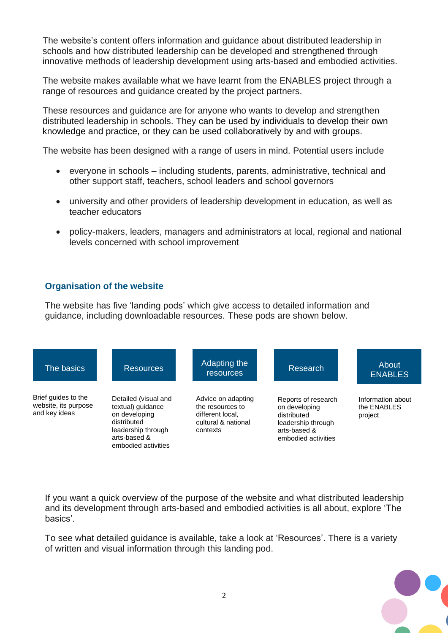The website's content offers information and guidance about distributed leadership in schools and how distributed leadership can be developed and strengthened through innovative methods of leadership development using arts-based and embodied activities.

The website makes available what we have learnt from the ENABLES project through a range of resources and guidance created by the project partners.

These resources and guidance are for anyone who wants to develop and strengthen distributed leadership in schools. They can be used by individuals to develop their own knowledge and practice, or they can be used collaboratively by and with groups.

The website has been designed with a range of users in mind. Potential users include

- everyone in schools including students, parents, administrative, technical and other support staff, teachers, school leaders and school governors
- university and other providers of leadership development in education, as well as teacher educators
- policy-makers, leaders, managers and administrators at local, regional and national levels concerned with school improvement

### **Organisation of the website**

The website has five 'landing pods' which give access to detailed information and guidance, including downloadable resources. These pods are shown below.



If you want a quick overview of the purpose of the website and what distributed leadership and its development through arts-based and embodied activities is all about, explore 'The basics'.

To see what detailed guidance is available, take a look at 'Resources'. There is a variety of written and visual information through this landing pod.